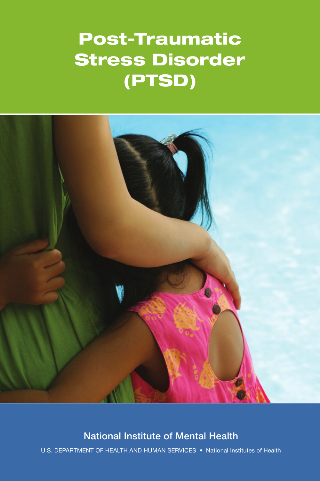# Post-Traumatic Stress Disorder (PTSD)



# National Institute of Mental Health

U.S. DEPARTMENT OF HEALTH AND HUMAN SERVICES . National Institutes of Health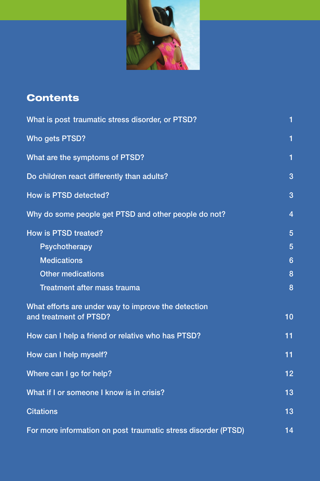

# Contents

| What is post traumatic stress disorder, or PTSD?              | 1               |
|---------------------------------------------------------------|-----------------|
| Who gets PTSD?                                                | 1               |
| What are the symptoms of PTSD?                                | 1               |
| Do children react differently than adults?                    | 3               |
| How is PTSD detected?                                         | 3               |
| Why do some people get PTSD and other people do not?          | 4               |
| How is PTSD treated?                                          | 5               |
| Psychotherapy                                                 | $\overline{5}$  |
| <b>Medications</b>                                            | $6\phantom{1}6$ |
| <b>Other medications</b>                                      | 8               |
| <b>Treatment after mass trauma</b>                            | 8               |
| What efforts are under way to improve the detection           |                 |
| and treatment of PTSD?                                        | 10              |
| How can I help a friend or relative who has PTSD?             | 11              |
| How can I help myself?                                        | 11              |
| Where can I go for help?                                      | 12              |
| What if I or someone I know is in crisis?                     | 13              |
| <b>Citations</b>                                              | 13              |
| For more information on post traumatic stress disorder (PTSD) | 14              |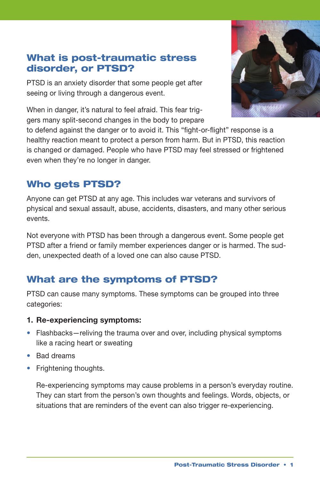### What is post-traumatic stress disorder, or PTSD?

PTSD is an anxiety disorder that some people get after seeing or living through a dangerous event.

When in danger, it's natural to feel afraid. This fear triggers many split-second changes in the body to prepare

to defend against the danger or to avoid it. This "fight-or-flight" response is a healthy reaction meant to protect a person from harm. But in PTSD, this reaction is changed or damaged. People who have PTSD may feel stressed or frightened even when they're no longer in danger.

# Who gets PTSD?

Anyone can get PTSD at any age. This includes war veterans and survivors of physical and sexual assault, abuse, accidents, disasters, and many other serious events.

Not everyone with PTSD has been through a dangerous event. Some people get PTSD after a friend or family member experiences danger or is harmed. The sudden, unexpected death of a loved one can also cause PTSD.

# What are the symptoms of PTSD?

PTSD can cause many symptoms. These symptoms can be grouped into three categories:

- **1. Re-experiencing symptoms:**
- Flashbacks-reliving the trauma over and over, including physical symptoms like a racing heart or sweating
- **•** Bad dreams
- **•** Frightening thoughts.

Re-experiencing symptoms may cause problems in a person's everyday routine. They can start from the person's own thoughts and feelings. Words, objects, or situations that are reminders of the event can also trigger re-experiencing.

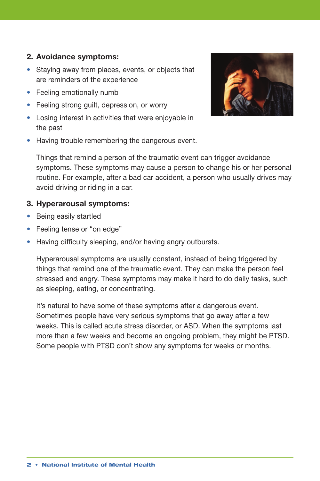#### **2. Avoidance symptoms:**

- **•** Staying away from places, events, or objects that are reminders of the experience
- Feeling emotionally numb
- Feeling strong quilt, depression, or worry
- Losing interest in activities that were enjoyable in the past



• Having trouble remembering the dangerous event.

Things that remind a person of the traumatic event can trigger avoidance symptoms. These symptoms may cause a person to change his or her personal routine. For example, after a bad car accident, a person who usually drives may avoid driving or riding in a car.

#### **3. Hyperarousal symptoms:**

- **•** Being easily startled
- Feeling tense or "on edge"
- Having difficulty sleeping, and/or having angry outbursts.

Hyperarousal symptoms are usually constant, instead of being triggered by things that remind one of the traumatic event. They can make the person feel stressed and angry. These symptoms may make it hard to do daily tasks, such as sleeping, eating, or concentrating.

It's natural to have some of these symptoms after a dangerous event. Sometimes people have very serious symptoms that go away after a few weeks. This is called acute stress disorder, or ASD. When the symptoms last more than a few weeks and become an ongoing problem, they might be PTSD. Some people with PTSD don't show any symptoms for weeks or months.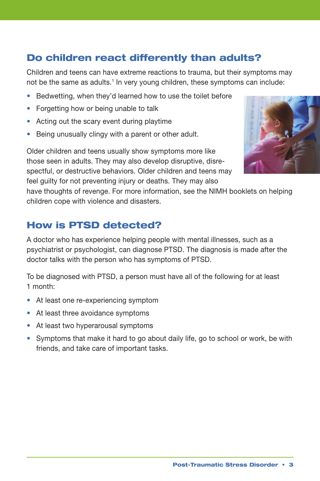# Do children react differently than adults?

Children and teens can have extreme reactions to trauma, but their symptoms may not be the same as adults.<sup>1</sup> In very young children, these symptoms can include:

- Bedwetting, when they'd learned how to use the toilet before
- Forgetting how or being unable to talk
- Acting out the scary event during playtime
- Being unusually clingy with a parent or other adult.

Older children and teens usually show symptoms more like those seen in adults. They may also develop disruptive, disrespectful, or destructive behaviors. Older children and teens may feel guilty for not preventing injury or deaths. They may also



have thoughts of revenge. For more information, see the NIMH booklets on helping children cope with violence and disasters.

# How is PTSD detected?

A doctor who has experience helping people with mental illnesses, such as a psychiatrist or psychologist, can diagnose PTSD. The diagnosis is made after the doctor talks with the person who has symptoms of PTSD.

To be diagnosed with PTSD, a person must have all of the following for at least 1 month:

- At least one re-experiencing symptom
- At least three avoidance symptoms
- At least two hyperarousal symptoms
- **•** Symptoms that make it hard to go about daily life, go to school or work, be with friends, and take care of important tasks.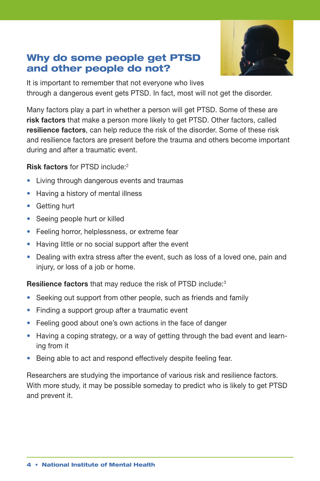### Why do some people get PTSD and other people do not?



It is important to remember that not everyone who lives through a dangerous event gets PTSD. In fact, most will not get the disorder.

Many factors play a part in whether a person will get PTSD. Some of these are **risk factors** that make a person more likely to get PTSD. Other factors, called **resilience factors**, can help reduce the risk of the disorder. Some of these risk and resilience factors are present before the trauma and others become important during and after a traumatic event.

#### **Risk factors** for PTSD include:<sup>2</sup>

- **•** Living through dangerous events and traumas
- Having a history of mental illness
- Getting hurt
- Seeing people hurt or killed
- Feeling horror, helplessness, or extreme fear
- Having little or no social support after the event
- Dealing with extra stress after the event, such as loss of a loved one, pain and injury, or loss of a job or home.

**Resilience factors** that may reduce the risk of PTSD include:<sup>3</sup>

- Seeking out support from other people, such as friends and family
- Finding a support group after a traumatic event
- Feeling good about one's own actions in the face of danger
- Having a coping strategy, or a way of getting through the bad event and learning from it
- Being able to act and respond effectively despite feeling fear.

Researchers are studying the importance of various risk and resilience factors. With more study, it may be possible someday to predict who is likely to get PTSD and prevent it.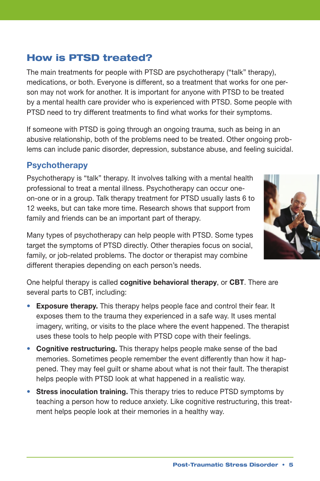# How is PTSD treated?

The main treatments for people with PTSD are psychotherapy ("talk" therapy), medications, or both. Everyone is different, so a treatment that works for one person may not work for another. It is important for anyone with PTSD to be treated by a mental health care provider who is experienced with PTSD. Some people with PTSD need to try different treatments to find what works for their symptoms.

If someone with PTSD is going through an ongoing trauma, such as being in an abusive relationship, both of the problems need to be treated. Other ongoing problems can include panic disorder, depression, substance abuse, and feeling suicidal.

### **Psychotherapy**

Psychotherapy is "talk" therapy. It involves talking with a mental health professional to treat a mental illness. Psychotherapy can occur oneon-one or in a group. Talk therapy treatment for PTSD usually lasts 6 to 12 weeks, but can take more time. Research shows that support from family and friends can be an important part of therapy.



Many types of psychotherapy can help people with PTSD. Some types target the symptoms of PTSD directly. Other therapies focus on social, family, or job-related problems. The doctor or therapist may combine different therapies depending on each person's needs.

One helpful therapy is called **cognitive behavioral therapy**, or **CBT**. There are several parts to CBT, including:

- **Exposure therapy.** This therapy helps people face and control their fear. It exposes them to the trauma they experienced in a safe way. It uses mental imagery, writing, or visits to the place where the event happened. The therapist uses these tools to help people with PTSD cope with their feelings.
- **Cognitive restructuring.** This therapy helps people make sense of the bad memories. Sometimes people remember the event differently than how it happened. They may feel guilt or shame about what is not their fault. The therapist helps people with PTSD look at what happened in a realistic way.
- **Stress inoculation training.** This therapy tries to reduce PTSD symptoms by teaching a person how to reduce anxiety. Like cognitive restructuring, this treatment helps people look at their memories in a healthy way.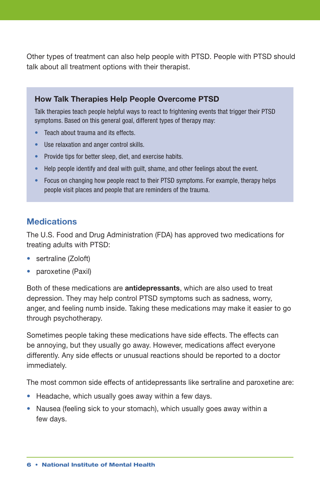Other types of treatment can also help people with PTSD. People with PTSD should talk about all treatment options with their therapist.

#### **How Talk Therapies Help People Overcome PTSD**

Talk therapies teach people helpful ways to react to frightening events that trigger their PTSD symptoms. Based on this general goal, different types of therapy may:

- **•** Teach about trauma and its effects.
- Use relaxation and anger control skills.
- Provide tips for better sleep, diet, and exercise habits.
- Help people identify and deal with guilt, shame, and other feelings about the event.
- Focus on changing how people react to their PTSD symptoms. For example, therapy helps people visit places and people that are reminders of the trauma.

### **Medications**

The U.S. Food and Drug Administration (FDA) has approved two medications for treating adults with PTSD:

- sertraline (Zoloft)
- **•** paroxetine (Paxil)

Both of these medications are **antidepressants**, which are also used to treat depression. They may help control PTSD symptoms such as sadness, worry, anger, and feeling numb inside. Taking these medications may make it easier to go through psychotherapy.

Sometimes people taking these medications have side effects. The effects can be annoying, but they usually go away. However, medications affect everyone differently. Any side effects or unusual reactions should be reported to a doctor immediately.

The most common side effects of antidepressants like sertraline and paroxetine are:

- **Headache, which usually goes away within a few days.**
- **•** Nausea (feeling sick to your stomach), which usually goes away within a few days.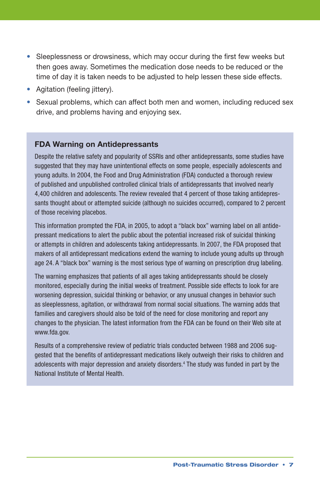- Sleeplessness or drowsiness, which may occur during the first few weeks but then goes away. Sometimes the medication dose needs to be reduced or the time of day it is taken needs to be adjusted to help lessen these side effects.
- Agitation (feeling jittery).
- Sexual problems, which can affect both men and women, including reduced sex drive, and problems having and enjoying sex.

#### **FDA Warning on Antidepressants**

Despite the relative safety and popularity of SSRIs and other antidepressants, some studies have suggested that they may have unintentional effects on some people, especially adolescents and young adults. In 2004, the Food and Drug Administration (FDA) conducted a thorough review of published and unpublished controlled clinical trials of antidepressants that involved nearly 4,400 children and adolescents. The review revealed that 4 percent of those taking antidepressants thought about or attempted suicide (although no suicides occurred), compared to 2 percent of those receiving placebos.

This information prompted the FDA, in 2005, to adopt a "black box" warning label on all antidepressant medications to alert the public about the potential increased risk of suicidal thinking or attempts in children and adolescents taking antidepressants. In 2007, the FDA proposed that makers of all antidepressant medications extend the warning to include young adults up through age 24. A "black box" warning is the most serious type of warning on prescription drug labeling.

The warning emphasizes that patients of all ages taking antidepressants should be closely monitored, especially during the initial weeks of treatment. Possible side effects to look for are worsening depression, suicidal thinking or behavior, or any unusual changes in behavior such as sleeplessness, agitation, or withdrawal from normal social situations. The warning adds that families and caregivers should also be told of the need for close monitoring and report any changes to the physician. The latest information from the FDA can be found on their Web site at www.fda.gov.

Results of a comprehensive review of pediatric trials conducted between 1988 and 2006 suggested that the benefits of antidepressant medications likely outweigh their risks to children and adolescents with major depression and anxiety disorders.<sup>4</sup> The study was funded in part by the National Institute of Mental Health.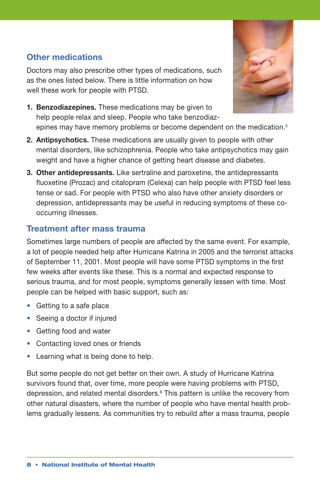# **Other medications**

Doctors may also prescribe other types of medications, such as the ones listed below. There is little information on how well these work for people with PTSD.

- **1. Benzodiazepines.** These medications may be given to help people relax and sleep. People who take benzodiazepines may have memory problems or become dependent on the medication.<sup>5</sup>
- **2. Antipsychotics.** These medications are usually given to people with other mental disorders, like schizophrenia. People who take antipsychotics may gain weight and have a higher chance of getting heart disease and diabetes.
- **3. Other antidepressants.** Like sertraline and paroxetine, the antidepressants fluoxetine (Prozac) and citalopram (Celexa) can help people with PTSD feel less tense or sad. For people with PTSD who also have other anxiety disorders or depression, antidepressants may be useful in reducing symptoms of these cooccurring illnesses.

### **Treatment after mass trauma**

Sometimes large numbers of people are affected by the same event. For example, a lot of people needed help after Hurricane Katrina in 2005 and the terrorist attacks of September 11, 2001. Most people will have some PTSD symptoms in the first few weeks after events like these. This is a normal and expected response to serious trauma, and for most people, symptoms generally lessen with time. Most people can be helped with basic support, such as:

- Getting to a safe place
- Seeing a doctor if injured
- Getting food and water
- Contacting loved ones or friends
- Learning what is being done to help.

But some people do not get better on their own. A study of Hurricane Katrina survivors found that, over time, more people were having problems with PTSD, depression, and related mental disorders.6 This pattern is unlike the recovery from other natural disasters, where the number of people who have mental health problems gradually lessens. As communities try to rebuild after a mass trauma, people

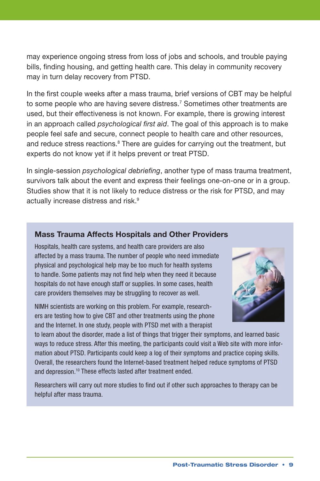may experience ongoing stress from loss of jobs and schools, and trouble paying bills, finding housing, and getting health care. This delay in community recovery may in turn delay recovery from PTSD.

In the first couple weeks after a mass trauma, brief versions of CBT may be helpful to some people who are having severe distress.<sup>7</sup> Sometimes other treatments are used, but their effectiveness is not known. For example, there is growing interest in an approach called *psychological first aid*. The goal of this approach is to make people feel safe and secure, connect people to health care and other resources, and reduce stress reactions. $8$  There are guides for carrying out the treatment, but experts do not know yet if it helps prevent or treat PTSD.

In single-session *psychological debriefing*, another type of mass trauma treatment, survivors talk about the event and express their feelings one-on-one or in a group. Studies show that it is not likely to reduce distress or the risk for PTSD, and may actually increase distress and risk.<sup>9</sup>

#### **Mass Trauma Affects Hospitals and Other Providers**

Hospitals, health care systems, and health care providers are also affected by a mass trauma. The number of people who need immediate physical and psychological help may be too much for health systems to handle. Some patients may not find help when they need it because hospitals do not have enough staff or supplies. In some cases, health care providers themselves may be struggling to recover as well.

NIMH scientists are working on this problem. For example, researchers are testing how to give CBT and other treatments using the phone and the Internet. In one study, people with PTSD met with a therapist



to learn about the disorder, made a list of things that trigger their symptoms, and learned basic ways to reduce stress. After this meeting, the participants could visit a Web site with more information about PTSD. Participants could keep a log of their symptoms and practice coping skills. Overall, the researchers found the Internet-based treatment helped reduce symptoms of PTSD and depression.<sup>10</sup> These effects lasted after treatment ended.

Researchers will carry out more studies to find out if other such approaches to therapy can be helpful after mass trauma.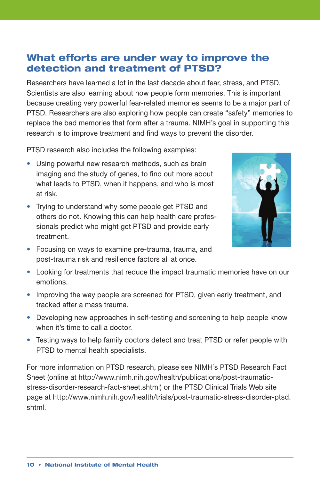## What efforts are under way to improve the detection and treatment of PTSD?

Researchers have learned a lot in the last decade about fear, stress, and PTSD. Scientists are also learning about how people form memories. This is important because creating very powerful fear-related memories seems to be a major part of PTSD. Researchers are also exploring how people can create "safety" memories to replace the bad memories that form after a trauma. NIMH's goal in supporting this research is to improve treatment and find ways to prevent the disorder.

PTSD research also includes the following examples:

- Using powerful new research methods, such as brain imaging and the study of genes, to find out more about what leads to PTSD, when it happens, and who is most at risk.
- Trying to understand why some people get PTSD and others do not. Knowing this can help health care professionals predict who might get PTSD and provide early treatment.



- Focusing on ways to examine pre-trauma, trauma, and post-trauma risk and resilience factors all at once.
- **•** Looking for treatments that reduce the impact traumatic memories have on our emotions.
- Improving the way people are screened for PTSD, given early treatment, and tracked after a mass trauma.
- Developing new approaches in self-testing and screening to help people know when it's time to call a doctor.
- Testing ways to help family doctors detect and treat PTSD or refer people with PTSD to mental health specialists.

For more information on PTSD research, please see NIMH's PTSD Research Fact Sheet (online at http://www.nimh.nih.gov/health/publications/post-traumaticstress-disorder-research-fact-sheet.shtml) or the PTSD Clinical Trials Web site page at http://www.nimh.nih.gov/health/trials/post-traumatic-stress-disorder-ptsd. shtml.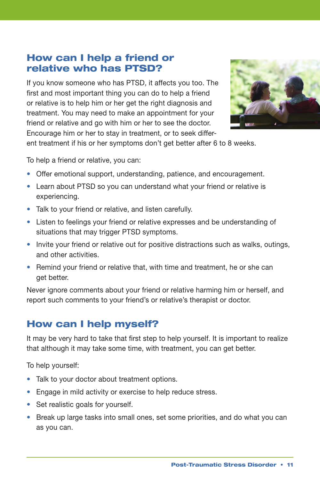# How can I help a friend or relative who has PTSD?

If you know someone who has PTSD, it affects you too. The first and most important thing you can do to help a friend or relative is to help him or her get the right diagnosis and treatment. You may need to make an appointment for your friend or relative and go with him or her to see the doctor. Encourage him or her to stay in treatment, or to seek differ-



ent treatment if his or her symptoms don't get better after 6 to 8 weeks.

To help a friend or relative, you can:

- Offer emotional support, understanding, patience, and encouragement.
- Learn about PTSD so you can understand what your friend or relative is experiencing.
- Talk to your friend or relative, and listen carefully.
- **•** Listen to feelings your friend or relative expresses and be understanding of situations that may trigger PTSD symptoms.
- Invite your friend or relative out for positive distractions such as walks, outings, and other activities.
- Remind your friend or relative that, with time and treatment, he or she can get better.

Never ignore comments about your friend or relative harming him or herself, and report such comments to your friend's or relative's therapist or doctor.

# How can I help myself?

It may be very hard to take that first step to help yourself. It is important to realize that although it may take some time, with treatment, you can get better.

To help yourself:

- Talk to your doctor about treatment options.
- Engage in mild activity or exercise to help reduce stress.
- Set realistic goals for yourself.
- **•** Break up large tasks into small ones, set some priorities, and do what you can as you can.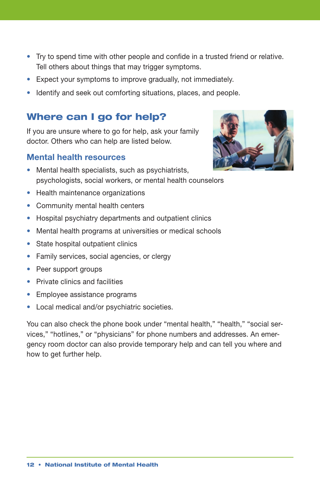- Try to spend time with other people and confide in a trusted friend or relative. Tell others about things that may trigger symptoms.
- Expect your symptoms to improve gradually, not immediately.
- Identify and seek out comforting situations, places, and people.

### Where can I go for help?

If you are unsure where to go for help, ask your family doctor. Others who can help are listed below.

#### **Mental health resources**

- Mental health specialists, such as psychiatrists. psychologists, social workers, or mental health counselors
- Health maintenance organizations
- Community mental health centers
- Hospital psychiatry departments and outpatient clinics
- Mental health programs at universities or medical schools
- State hospital outpatient clinics
- Family services, social agencies, or clergy
- Peer support groups
- **•** Private clinics and facilities
- Employee assistance programs
- **•** Local medical and/or psychiatric societies.

You can also check the phone book under "mental health," "health," "social services," "hotlines," or "physicians" for phone numbers and addresses. An emergency room doctor can also provide temporary help and can tell you where and how to get further help.

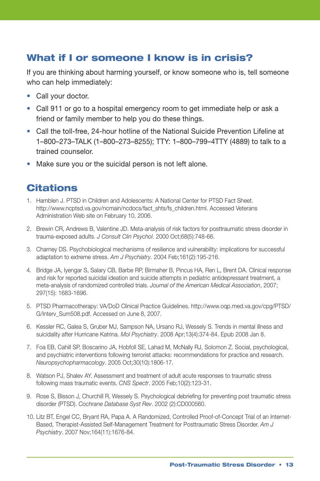# What if I or someone I know is in crisis?

If you are thinking about harming yourself, or know someone who is, tell someone who can help immediately:

- Call your doctor.
- Call 911 or go to a hospital emergency room to get immediate help or ask a friend or family member to help you do these things.
- **•** Call the toll-free, 24-hour hotline of the National Suicide Prevention Lifeline at 1–800–273–TALK (1–800–273–8255); TTY: 1–800–799–4TTY (4889) to talk to a trained counselor.
- Make sure you or the suicidal person is not left alone.

# **Citations**

- 1. Hamblen J. PTSD in Children and Adolescents: A National Center for PTSD Fact Sheet. http://www.ncptsd.va.gov/ncmain/ncdocs/fact\_shts/fs\_children.html. Accessed Veterans Administration Web site on February 10, 2006.
- 2. Brewin CR, Andrews B, Valentine JD. Meta-analysis of risk factors for posttraumatic stress disorder in trauma-exposed adults. *J Consult Clin Psychol.* 2000 Oct;68(5):748-66.
- 3. Charney DS. Psychobiological mechanisms of resilience and vulnerability: implications for successful adaptation to extreme stress. Am J Psychiatry. 2004 Feb;161(2):195-216.
- 4. Bridge JA, Iyengar S, Salary CB, Barbe RP, Birmaher B, Pincus HA, Ren L, Brent DA. Clinical response and risk for reported suicidal ideation and suicide attempts in pediatric antidepressant treatment, a meta-analysis of randomized controlled trials. *Journal of the American Medical Association*, 2007; 297(15): 1683-1696.
- 5. PTSD Pharmacotherapy: VA/DoD Clinical Practice Guidelines. http://www.oqp.med.va.gov/cpg/PTSD/ G/Interv Sum508.pdf. Accessed on June 8, 2007.
- 6. Kessler RC, Galea S, Gruber MJ, Sampson NA, Ursano RJ, Wessely S. Trends in mental illness and suicidality after Hurricane Katrina. *Mol Psychiatry*. 2008 Apr;13(4):374-84. Epub 2008 Jan 8.
- 7. Foa EB, Cahill SP, Boscarino JA, Hobfoll SE, Lahad M, McNally RJ, Solomon Z. Social, psychological, and psychiatric interventions following terrorist attacks: recommendations for practice and research. *Neuropsychopharmacology*. 2005 Oct;30(10):1806-17.
- 8. Watson PJ, Shalev AY. Assessment and treatment of adult acute responses to traumatic stress following mass traumatic events. *CNS Spectr.* 2005 Feb;10(2):123-31.
- 9. Rose S, Bisson J, Churchill R, Wessely S. Psychological debriefing for preventing post traumatic stress disorder (PTSD). *Cochrane Database Syst Rev.* 2002 (2):CD000560.
- 10. Litz BT, Engel CC, Bryant RA, Papa A. A Randomized, Controlled Proof-of-Concept Trial of an Internet-Based, Therapist-Assisted Self-Management Treatment for Posttraumatic Stress Disorder. Am J *Psychiatry*. 2007 Nov;164(11):1676-84.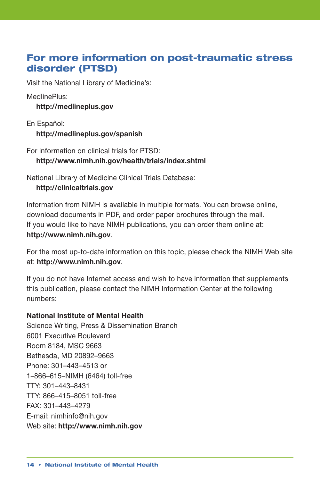### For more information on post-traumatic stress disorder (PTSD)

Visit the National Library of Medicine's:

MedlinePlus:

**http://medlineplus.gov** 

En Español: **http://medlineplus.gov/spanish** 

For information on clinical trials for PTSD: **http://www.nimh.nih.gov/health/trials/index.shtml** 

National Library of Medicine Clinical Trials Database:

**http://clinicaltrials.gov** 

Information from NIMH is available in multiple formats. You can browse online, download documents in PDF, and order paper brochures through the mail. If you would like to have NIMH publications, you can order them online at: **http://www.nimh.nih.gov**.

For the most up-to-date information on this topic, please check the NIMH Web site at: **http://www.nimh.nih.gov**.

If you do not have Internet access and wish to have information that supplements this publication, please contact the NIMH Information Center at the following numbers:

#### **National Institute of Mental Health**

Science Writing, Press & Dissemination Branch 6001 Executive Boulevard Room 8184, MSC 9663 Bethesda, MD 20892–9663 Phone: 301–443–4513 or 1–866–615–NIMH (6464) toll-free TTY: 301–443–8431 TTY: 866–415–8051 toll-free FAX: 301–443–4279 E-mail: nimhinfo@nih.gov Web site: **http://www.nimh.nih.gov**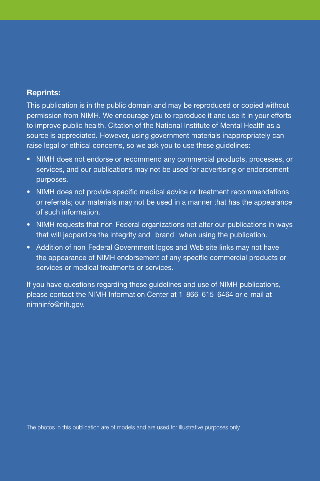#### **Reprints:**

This publication is in the public domain and may be reproduced or copied without permission from NIMH. We encourage you to reproduce it and use it in your efforts to improve public health. Citation of the National Institute of Mental Health as a source is appreciated. However, using government materials inappropriately can raise legal or ethical concerns, so we ask you to use these guidelines:

- NIMH does not endorse or recommend any commercial products, processes, or services, and our publications may not be used for advertising or endorsement purposes.
- • NIMH does not provide specific medical advice or treatment recommendations or referrals; our materials may not be used in a manner that has the appearance of such information.
- NIMH requests that non Federal organizations not alter our publications in ways that will jeopardize the integrity and brand when using the publication.
- Addition of non Federal Government logos and Web site links may not have the appearance of NIMH endorsement of any specific commercial products or services or medical treatments or services.

If you have questions regarding these guidelines and use of NIMH publications, please contact the NIMH Information Center at 1 866 615 6464 or e mail at nimhinfo@nih.gov.

The photos in this publication are of models and are used for illustrative purposes only.